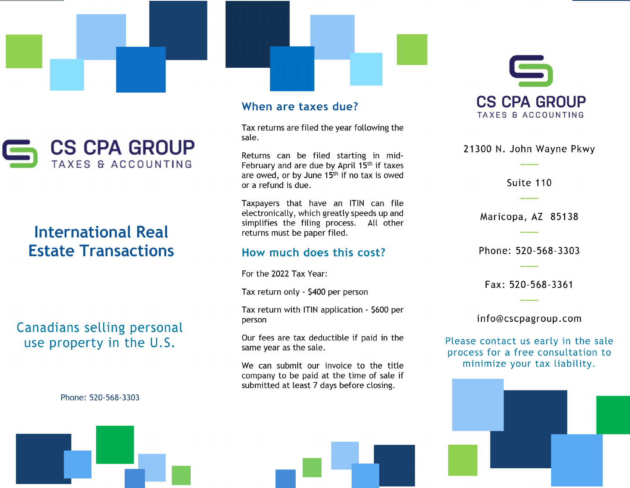

# **International Real Estate Transactions**

Canadians selling personal use property in the U.S.

Phone: 520-568-3303

#### When are taxes due?

Tax returns are filed the year following the sale.

Returns can be filed starting in mid-February and are due by April 15<sup>th</sup> if taxes are owed, or by June 15<sup>th</sup> if no tax is owed or a refund is due.

Taxpayers that have an ITIN can file electronically, which greatly speeds up and simplifies the filing process. All other returns must be paper filed.

#### How much does this cost?

For the 2022 Tax Year:

Tax return only - \$400 per person

Tax return with ITIN application - \$600 per person

Our fees are tax deductible if paid in the same year as the sale.

We can submit our invoice to the title company to be paid at the time of sale if submitted at least 7 days before closing.



21300 N. John Wayne Pkwy

Suite 110

Maricopa, AZ 85138

Phone: 520-568-3303

Fax: 520-568-3361

info@cscpagroup.com

Please contact us early in the sale process for a free consultation to minimize your tax liability.